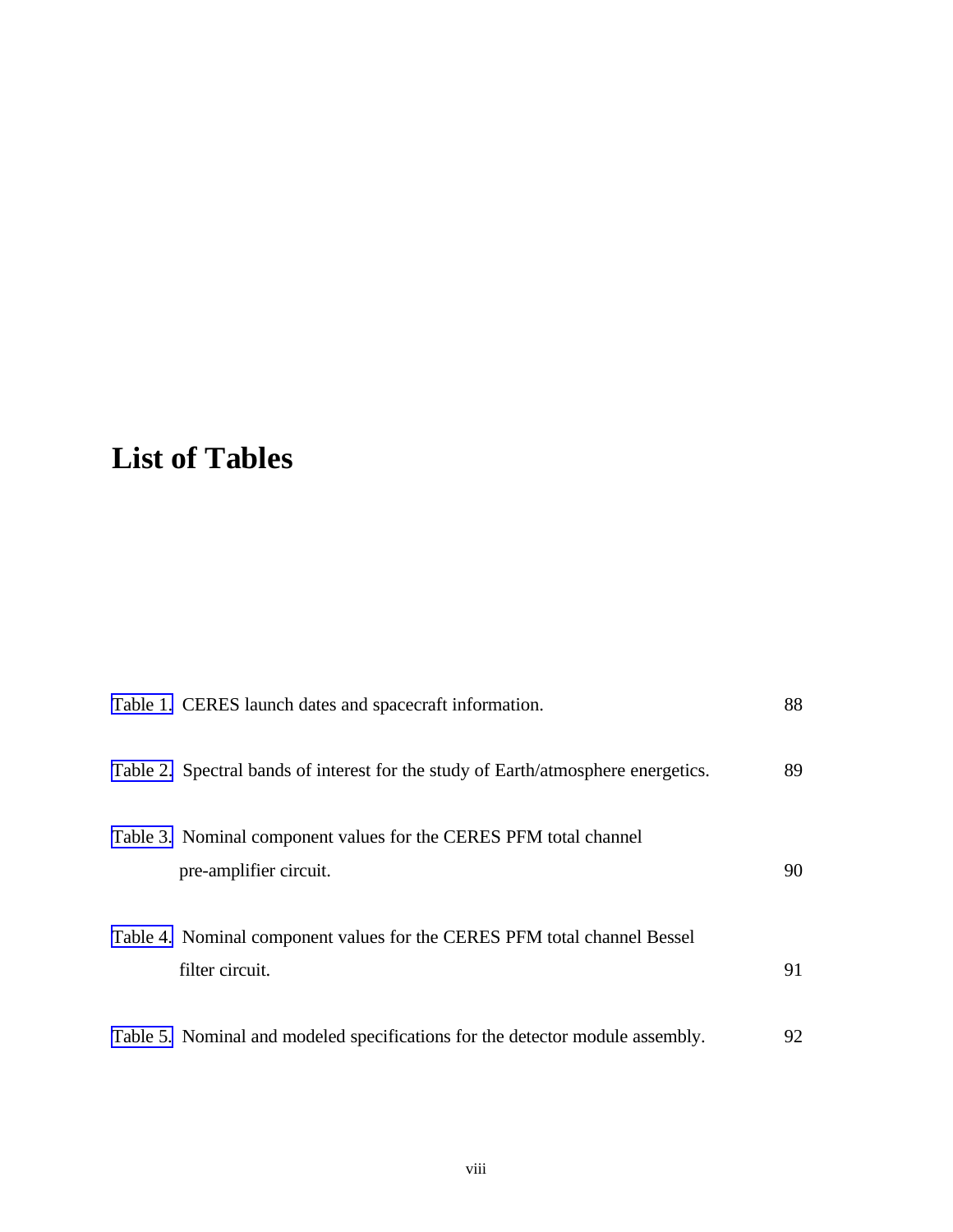## **List of Tables**

| Table 1. CERES launch dates and spacecraft information.                                     | 88 |
|---------------------------------------------------------------------------------------------|----|
| Table 2. Spectral bands of interest for the study of Earth/atmosphere energetics.           | 89 |
| Table 3. Nominal component values for the CERES PFM total channel<br>pre-amplifier circuit. | 90 |
| Table 4. Nominal component values for the CERES PFM total channel Bessel<br>filter circuit. | 91 |
| Table 5. Nominal and modeled specifications for the detector module assembly.               | 92 |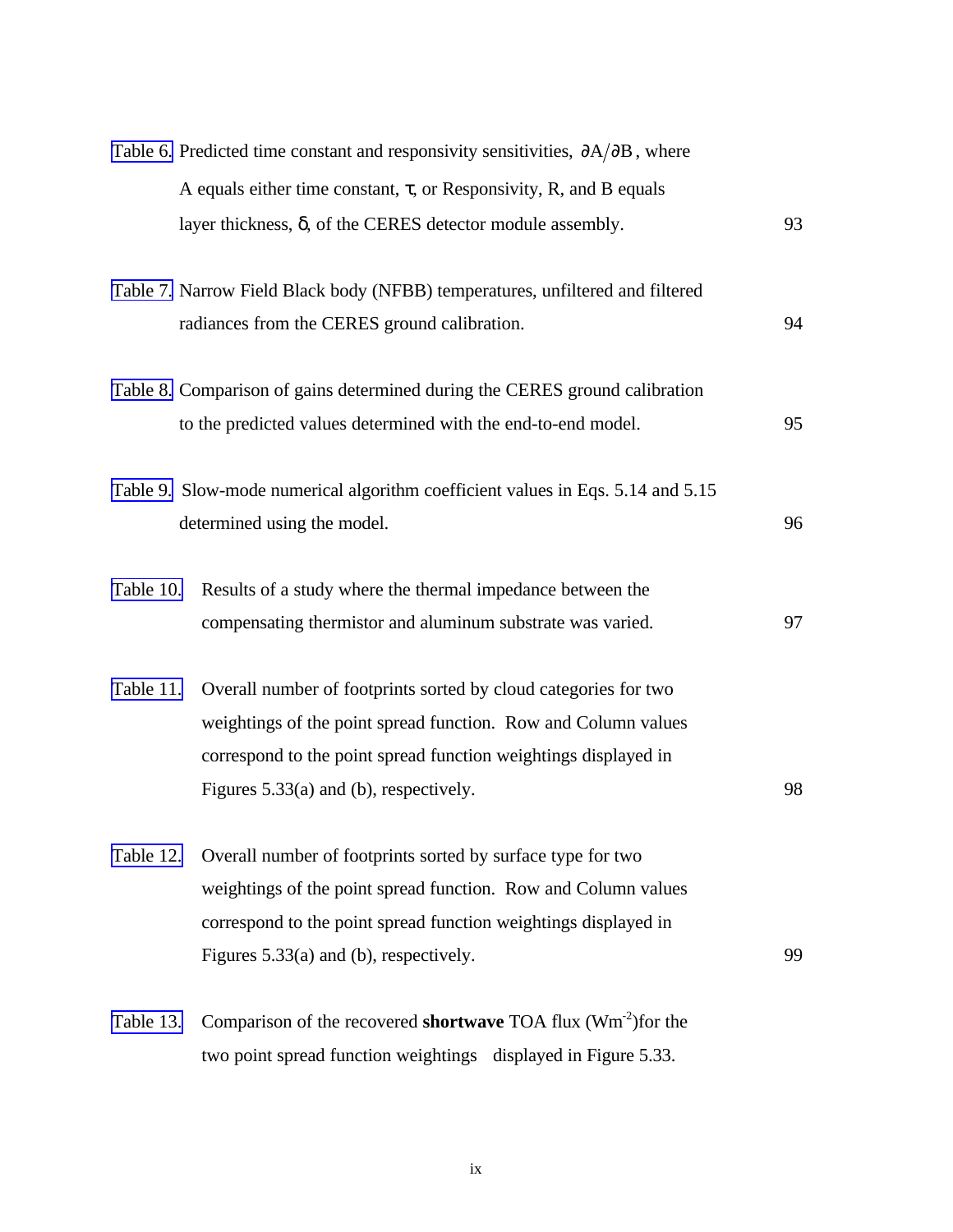|           | Table 6. Predicted time constant and responsivity sensitivities, $\partial A/\partial B$ , where |    |
|-----------|--------------------------------------------------------------------------------------------------|----|
|           | A equals either time constant, $\tau$ , or Responsivity, R, and B equals                         |    |
|           | layer thickness, δ, of the CERES detector module assembly.                                       | 93 |
|           | Table 7. Narrow Field Black body (NFBB) temperatures, unfiltered and filtered                    |    |
|           | radiances from the CERES ground calibration.                                                     | 94 |
|           | Table 8. Comparison of gains determined during the CERES ground calibration                      |    |
|           | to the predicted values determined with the end-to-end model.                                    | 95 |
|           | Table 9. Slow-mode numerical algorithm coefficient values in Eqs. 5.14 and 5.15                  |    |
|           | determined using the model.                                                                      | 96 |
|           | Table 10. Results of a study where the thermal impedance between the                             |    |
|           | compensating thermistor and aluminum substrate was varied.                                       | 97 |
| Table 11. | Overall number of footprints sorted by cloud categories for two                                  |    |
|           | weightings of the point spread function. Row and Column values                                   |    |
|           | correspond to the point spread function weightings displayed in                                  |    |
|           | Figures 5.33(a) and (b), respectively.                                                           | 98 |
| Table 12. | Overall number of footprints sorted by surface type for two                                      |    |
|           | weightings of the point spread function. Row and Column values                                   |    |
|           | correspond to the point spread function weightings displayed in                                  |    |
|           | Figures $5.33(a)$ and (b), respectively.                                                         | 99 |
| Table 13. | Comparison of the recovered <b>shortwave</b> TOA flux $(Wm^{-2})$ for the                        |    |
|           | two point spread function weightings displayed in Figure 5.33.                                   |    |

ix